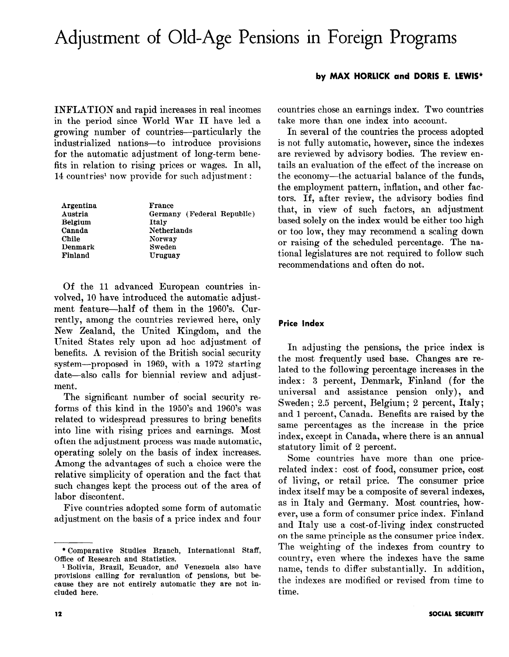# Adjustment of Old-Age Pensions in Foreign Programs

INFLATION and rapid increases in real incomes in the period since World War II have led a growing number of countries-particularly the industrialized nations--to introduce provisions for the automatic adjustment of long-term benefits in relation to rising prices or wages. In all, 14 countries<sup>1</sup> now provide for such adjustment:

| Argentina    | France                     |
|--------------|----------------------------|
| Austria      | Germany (Federal Republic) |
| Belgium      | Italy                      |
| Canada       | Netherlands                |
| <b>Chile</b> | Norway                     |
| Denmark      | Sweden                     |
| Finland      | Uruguay                    |

Of the 11 advanced European countries involved, 10 have introduced the automatic adjustment feature-half of them in the 1960's. Currently, among the countries reviewed here, only New Zealand, the United Kingdom, and the 1Jnited States rely upon ad hoc adjustment of benefits. A revision of the British social security system-proposed in 1969, with a 19'72 starting date-also calls for biennial review and adjustment.

The significant number of social security reforms of this kind in the 1950's and 1960's was related to widespread pressures to bring benefits into line with rising prices and earnings. Most often the adjustment process was made automatic, operating solely on the basis of index increases. Among the advantages of such a choice were the relative simplicity of operation and the fact that such changes kept the process out of the area of labor discontent.

Five countries adopted some form of automatic adjustment on the basis of a price index and four

#### by MAX HORLICK and DORIS E. LEWIS\*

countries chose an earnings index. Two countries take more than one index into account.

In several of the countries the process adopted is not fully automatic, however, since the indexes are reviewed by advisory bodies. The review entails an evaluation of the effect of the increase on the economy—the actuarial balance of the funds, the employment pattern, inflation, and other factors. If, after review, the advisory bodies find that, in view of such factors, an adjustment based solely on the index would be either too high or too low, they may recommend a scaling down or raising of the scheduled percentage. The national legislatures are not required to follow such recommendations and often do not.

#### Price Index

In adjusting the pensions, the price index is the most frequently used base. Changes are related to the following percentage increases in the index : 3 percent, Denmark, Finland (for the universal and assistance pension only), and Sweden; 2.5 percent, Belgium; 2 percent, Italy; and 1 percent, Canada. Benefits are raised by the same percentages as the increase in the price index, except in Canada, where there is an annual statutory limit of 2 percent.

Some countries have more than one pricerelated index: cost of food, consumer price, cost of living, or retail price. The consumer price index itself may be a composite of several indexes, as in Italy and Germany. Most countries, however, use a form of consumer price index. Finland and Italy use a cost-of-living index constructed on the same principle as the consumer price index. The weighting of the indexes from country to country, even where the indexes have the same name, tends to differ substantially. In addition, the indexes are modified or revised from time to time.

<sup>\*</sup> Comparative Studies Branch, International Staff, Office of Research and Statistics.

<sup>1</sup> Bolivia, Brazil, Ecuador, and Venezuela also have provisions calling for revaluation of pensions, but because they are not entirely automatic they are not included here.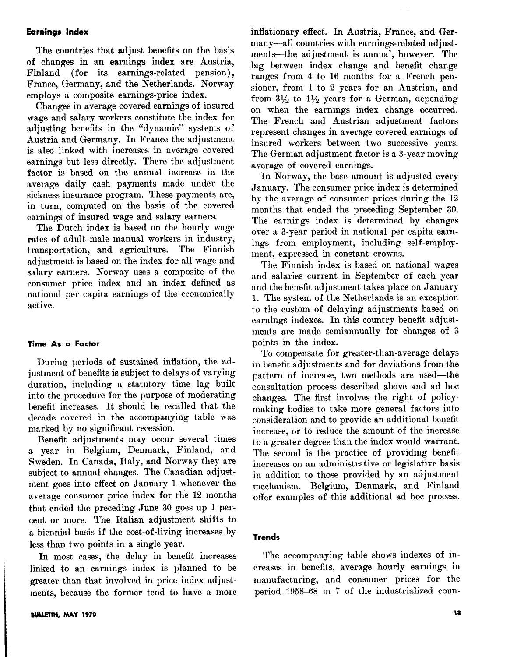#### Earnings Index

The countries that adjust benefits on the basis of changes in an earnings index are Austria, Finland (for its earnings-related pension), France, Germany, and the Netherlands. Norway employs a composite earnings-price index.

Changes in average covered earnings of insured wage and salary workers constitute the index for adjusting benefits in the "dynamic" systems of Austria and Germany. In France the adjustment is also linked with increases in average covered earnings but less directly. There the adjustment factor is based on the annual increase in the average daily cash payments made under the sickness insurance program. These payments are, in turn, computed on the basis of the covered earnings of insured wage and salary earners.

The Dutch index is based on the hourly wage rates of adult male manual workers in industry, transportation, and agriculture. The Finnish adjustment is based on the index for all wage and salary earners. Norway uses a composite of the consumer price index and an index defined as national per capita earnings of the economically active.

#### Time As a Factor

During periods of sustained inflation, the adjustment of benefits is subject to delays of varying duration, including a statutory time lag built into the procedure for the purpose of moderating benefit increases. It should be recalled that the decade covered in the accompanying table was marked by no significant recession.

Benefit adjustments may occur several times a year in Belgium, Denmark, Finland, and Sweden. In Canada, Italy, and Norway they are subject to annual changes. The Canadian adjustment goes into effect on January 1 whenever the average consumer price index for the 12 months that ended the preceding June 30 goes up 1 percent or more. The Italian adjustment shifts to a biennial basis if the cost-of-living increases by less than two points in a single year.

In most cases, the delay in benefit increases linked to an earnings index is planned to be greater than that involved in price index adjustments, because the former tend to have a more inflationary effect. In Austria, France, and Germany-all countries with earnings-related adjustments-the adjustment is annual, however. The lag between index change and benefit change ranges from 4 to 16 months for a French pensioner, from 1 to 2 years for an Austrian, and from  $3\frac{1}{2}$  to  $4\frac{1}{2}$  years for a German, depending on when the earnings index change occurred. The French and Austrian adjustment factors represent changes in average covered earnings of insured workers between two successive years. The German adjustment factor is a 3-year moving average of covered earnings.

In Norway, the base amount is adjusted every January. The consumer price index is determined by the average of consumer prices during the 12 months that ended the preceding September 30. The earnings index is determined by changes over a 3-year period in national per capita earnings from employment, including self -employment, expressed in constant crowns.

The Finnish index is based on national wages and salaries current in September of each year and the benefit adjustment takes place on January 1. The system of the Netherlands is an exception to the custom of delaying adjustments based on earnings indexes. In this country benefit adjustments are made semiannually for changes of 3 points in the index.

To compensate for greater-than-average delays in benefit adjustments and for deviations from the pattern of increase, two methods are used-the consultation process described above and ad hoc changes. The first involves the right of policymaking bodies to take more general factors into consideration and to provide an additional benefit increase, or to reduce the amount of the increase to a greater degree than the index would warrant. The second is the practice of providing benefit increases on an administrative or legislative basis in addition to those provided by an adjustment mechanism. Belgium, Denmark, and Finland offer examples of this additional ad hoc process.

#### Trends

The accompanying table shows indexes of increases in benefits, average hourly earnings in manufacturing, and consumer prices for the period  $1958-68$  in  $7$  of the industrialized coun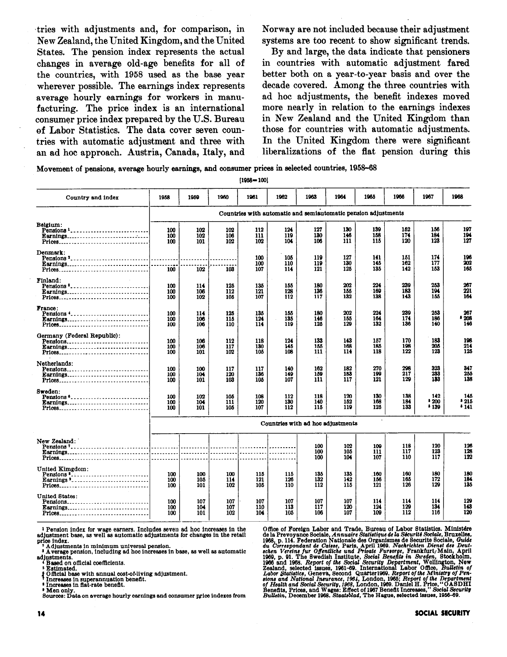tries with adjustments and, for comparison, in New Zealand, the United Kingdom, and the United States. The pension index represents the actual changes in average old-age benefits for all of the countries, with 1958 used as the base year wherever possible. The earnings index represents average hourly earnings for workers in manufacturing. The price index is an international consumer price index prepared by the U.S. Bureau of Labor Statistics. The data cover seven countries with automatic adjustment and three with an ad hoc approach. Austria, Canada, Italy, and

Norway are not included because their adjustment systems are too recent to show significant trends.

By and large, the data indicate that pensioners in countries with automatic adjustment fared better both on a year-to-year basis and over the decade covered. Among the three countries with ad hoc adjustments, the benefit indexes moved more nearly in relation to the earnings indexes in New Zealand and the United Kingdom than those for countries with automatic adjustments. In the United Kingdom there were significant liberalizations of the flat pension during this

Movement of pensions, average hourly earnings, and consumer prices in selected countries, 1958-68

 $[1958 - 100]$ 

| Country and index                                             | 1958                                                           | 1959              | 1960              | 1961              | 1962              | 1963              | 1964              | 1965              | 1966              | 1967                  | 1968                  |
|---------------------------------------------------------------|----------------------------------------------------------------|-------------------|-------------------|-------------------|-------------------|-------------------|-------------------|-------------------|-------------------|-----------------------|-----------------------|
|                                                               | Countries with automatic and semiautomatic pension adjustments |                   |                   |                   |                   |                   |                   |                   |                   |                       |                       |
| Belgium:<br>Pensions <sup>1</sup><br>Earnings<br>Prices       | 100<br>100<br>100                                              | 102<br>102<br>101 | 102<br>106<br>102 | 112<br>111<br>102 | 124<br>119<br>104 | 127<br>130<br>106 | 130<br>146<br>111 | 139<br>158<br>115 | 152<br>174<br>120 | 156<br>184<br>123     | 197<br>194<br>127     |
| Denmark:<br>Pensions <sup>3</sup><br>Earnings                 |                                                                |                   |                   | 100<br>100        | 105<br>110        | 119<br>119        | 127<br>130        | 141<br>145        | 151<br>162<br>142 | 174<br>177<br>153     | 196<br>202<br>165     |
| Prices<br>Finland:                                            | 100                                                            | 102               | 103               | 107               | 114               | 121               | 125               | 135               |                   |                       |                       |
| Pensions *<br>Earnings<br>Prices                              | 100<br>100<br>100                                              | 114<br>106<br>102 | 125<br>112<br>105 | 135<br>121<br>107 | 155<br>128<br>112 | 180<br>136<br>117 | 202<br>156<br>132 | 224<br>169<br>138 | 239<br>183<br>143 | 253<br>194<br>155     | 267<br>221<br>164     |
| France:<br>Pensions 4<br>Earnings<br>Prices                   | 100<br>100<br>100                                              | 114<br>106<br>106 | 125<br>115<br>110 | 135<br>124<br>114 | 155<br>135<br>119 | 180<br>146<br>126 | 202<br>155<br>129 | 224<br>164<br>132 | 239<br>174<br>136 | 253<br>186<br>140     | 267<br>* 208<br>146   |
| Germany (Federal Republic):<br>Pensions<br>Earnings<br>Prices | 100<br>100<br>100                                              | 106<br>106<br>101 | 112<br>117<br>102 | 118<br>130<br>105 | 124<br>145<br>108 | 133<br>155<br>111 | 143<br>168<br>114 | 157<br>185<br>118 | 170<br>198<br>122 | 183<br>205<br>123     | 198<br>214<br>125     |
| Netherlands:<br>Pensions<br>Earnings<br>Prices                | 100<br>100<br>100                                              | 100<br>104<br>101 | 117<br>120<br>103 | 117<br>136<br>105 | 140<br>149<br>107 | 162<br>159<br>111 | 182<br>183<br>117 | 270<br>199<br>121 | 298<br>217<br>129 | 323<br>233<br>133     | 347<br>255<br>138     |
| Sweden:<br>Pensions 6<br><b>Earnings</b><br>$Prices$          | 100<br>100<br>100                                              | 102<br>104<br>101 | 106<br>111<br>105 | 108<br>120<br>107 | 112<br>130<br>112 | 118<br>140<br>115 | 120<br>152<br>119 | 130<br>168<br>125 | 138<br>184<br>133 | 142<br>' 200<br>* 139 | 145<br>* 215<br>* 141 |
|                                                               | Countries with ad hoc adjustments                              |                   |                   |                   |                   |                   |                   |                   |                   |                       |                       |
| New Zealand:                                                  |                                                                |                   |                   | . 1               |                   | 100<br>100<br>100 | 102<br>105<br>104 | 100<br>111<br>107 | 118<br>117<br>110 | 120<br>123<br>117     | 126<br>128<br>122     |
| United Kimgdom:<br>Prices                                     | 100<br>100<br>100                                              | 100<br>105<br>101 | 100<br>114<br>102 | 115<br>121<br>105 | 115<br>126<br>110 | 135<br>132<br>112 | 135<br>142<br>115 | 160<br>156<br>121 | 160<br>165<br>126 | 180<br>172<br>129     | 180<br>184<br>135     |
| United States:<br>Pensions<br><b>Earnings</b><br>Prices       | 100<br>100<br>100                                              | 107<br>104<br>101 | 107<br>107<br>102 | 107<br>110<br>104 | 107<br>113<br>105 | 107<br>117<br>106 | 107<br>120<br>107 | 114<br>124<br>109 | 114<br>129<br>112 | 114<br>134<br>116     | 129<br>143<br>120     |

<sup>1</sup> Pension index for wage earners. Includes seven ad hoc increases in the adjustment base, as well as automatic adjustments for changes in the retail price index.

Adjustments in minimum universal pension. <sup>3</sup> Average pension, including ad hoc increases in base, as well as automatic adinstments.

Based on official coefficients.

Estimated.

Official base with annual cost-of-living adjustment. Thereases in superannuation benefit.<br>
\* Increases in flat-rate benefit.

<sup>9</sup> Man only

Sources: Data on average hourly earnings and consumer price indexes from

Office of Foreign Labor and Trade, Bureau of Labor Statistics. Ministére de la Prevoyance Sociale, Annuaire Statistique de la Sécurité Sociale, Bruxelles, 1988, p. 114. Federation Nationale des Organismes de Securité Socia